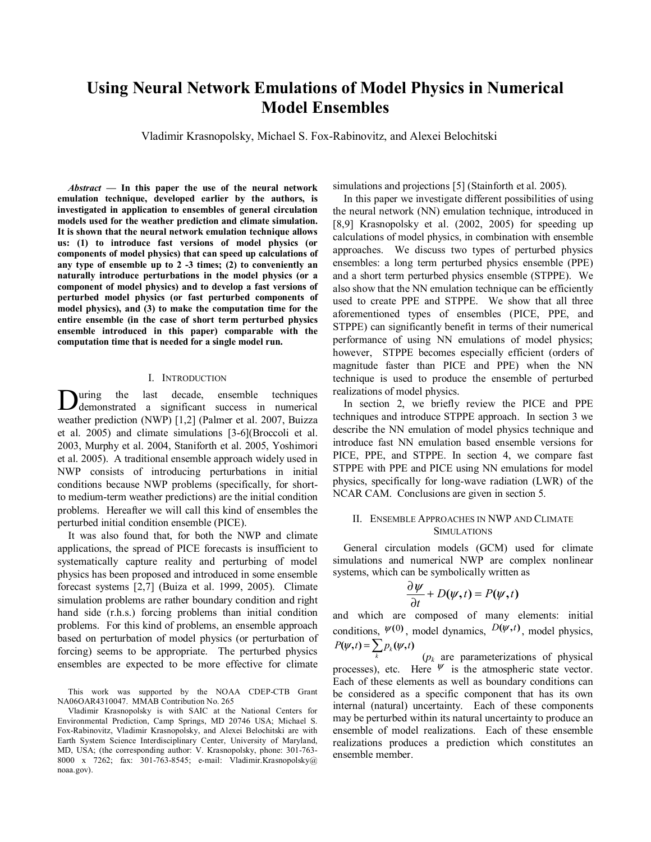# **Using Neural Network Emulations of Model Physics in Numerical Model Ensembles**

Vladimir Krasnopolsky, Michael S. Fox-Rabinovitz, and Alexei Belochitski

*Abstract* **— In this paper the use of the neural network emulation technique, developed earlier by the authors, is investigated in application to ensembles of general circulation models used for the weather prediction and climate simulation. It is shown that the neural network emulation technique allows us: (1) to introduce fast versions of model physics (or components of model physics) that can speed up calculations of any type of ensemble up to 2 -3 times; (2) to conveniently an naturally introduce perturbations in the model physics (or a component of model physics) and to develop a fast versions of perturbed model physics (or fast perturbed components of model physics), and (3) to make the computation time for the entire ensemble (in the case of short term perturbed physics ensemble introduced in this paper) comparable with the computation time that is needed for a single model run.** 

#### I. INTRODUCTION

uring the last decade, ensemble techniques During the last decade, ensemble techniques<br>demonstrated a significant success in numerical weather prediction (NWP) [1,2] (Palmer et al. 2007, Buizza et al. 2005) and climate simulations [3-6](Broccoli et al. 2003, Murphy et al. 2004, Staniforth et al. 2005, Yoshimori et al. 2005). A traditional ensemble approach widely used in NWP consists of introducing perturbations in initial conditions because NWP problems (specifically, for shortto medium-term weather predictions) are the initial condition problems. Hereafter we will call this kind of ensembles the perturbed initial condition ensemble (PICE).

It was also found that, for both the NWP and climate applications, the spread of PICE forecasts is insufficient to systematically capture reality and perturbing of model physics has been proposed and introduced in some ensemble forecast systems [2,7] (Buiza et al. 1999, 2005). Climate simulation problems are rather boundary condition and right hand side (r.h.s.) forcing problems than initial condition problems. For this kind of problems, an ensemble approach based on perturbation of model physics (or perturbation of forcing) seems to be appropriate. The perturbed physics ensembles are expected to be more effective for climate

This work was supported by the NOAA CDEP-CTB Grant NA06OAR4310047. MMAB Contribution No. 265

Vladimir Krasnopolsky is with SAIC at the National Centers for Environmental Prediction, Camp Springs, MD 20746 USA; Michael S. Fox-Rabinovitz, Vladimir Krasnopolsky, and Alexei Belochitski are with Earth System Science Interdisciplinary Center, University of Maryland, MD, USA; (the corresponding author: V. Krasnopolsky, phone: 301-763- 8000 x 7262; fax: 301-763-8545; e-mail: Vladimir.Krasnopolsky@ noaa.gov).

simulations and projections [5] (Stainforth et al. 2005).

In this paper we investigate different possibilities of using the neural network (NN) emulation technique, introduced in [8,9] Krasnopolsky et al. (2002, 2005) for speeding up calculations of model physics, in combination with ensemble approaches. We discuss two types of perturbed physics ensembles: a long term perturbed physics ensemble (PPE) and a short term perturbed physics ensemble (STPPE). We also show that the NN emulation technique can be efficiently used to create PPE and STPPE. We show that all three aforementioned types of ensembles (PICE, PPE, and STPPE) can significantly benefit in terms of their numerical performance of using NN emulations of model physics; however, STPPE becomes especially efficient (orders of magnitude faster than PICE and PPE) when the NN technique is used to produce the ensemble of perturbed realizations of model physics.

In section 2, we briefly review the PICE and PPE techniques and introduce STPPE approach. In section 3 we describe the NN emulation of model physics technique and introduce fast NN emulation based ensemble versions for PICE, PPE, and STPPE. In section 4, we compare fast STPPE with PPE and PICE using NN emulations for model physics, specifically for long-wave radiation (LWR) of the NCAR CAM. Conclusions are given in section 5.

## II. ENSEMBLE APPROACHES IN NWP AND CLIMATE SIMULATIONS

General circulation models (GCM) used for climate simulations and numerical NWP are complex nonlinear systems, which can be symbolically written as

$$
\frac{\partial \psi}{\partial t} + D(\psi, t) = P(\psi, t)
$$

and which are composed of many elements: initial conditions,  $\psi^{(0)}$ , model dynamics,  $D(\psi, t)$ , model physics,  $P(\psi, t) = \sum_{k} p_k(\psi, t)$ 

 $(p_k)$  are parameterizations of physical processes), etc. Here  $\psi$  is the atmospheric state vector. Each of these elements as well as boundary conditions can be considered as a specific component that has its own internal (natural) uncertainty. Each of these components may be perturbed within its natural uncertainty to produce an ensemble of model realizations. Each of these ensemble realizations produces a prediction which constitutes an ensemble member.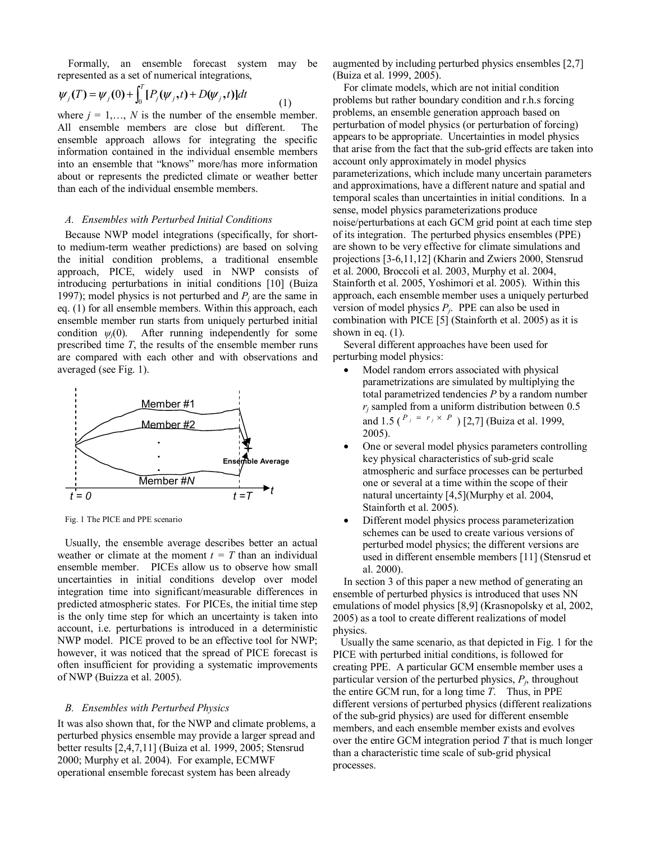Formally, an ensemble forecast system may be represented as a set of numerical integrations,

$$
\psi_j(T) = \psi_j(0) + \int_0^T [P_j(\psi_j, t) + D(\psi_j, t)]dt
$$
\n(1)

where  $j = 1, \ldots, N$  is the number of the ensemble member. All ensemble members are close but different. The ensemble approach allows for integrating the specific information contained in the individual ensemble members into an ensemble that "knows" more/has more information about or represents the predicted climate or weather better than each of the individual ensemble members.

# *A. Ensembles with Perturbed Initial Conditions*

Because NWP model integrations (specifically, for shortto medium-term weather predictions) are based on solving the initial condition problems, a traditional ensemble approach, PICE, widely used in NWP consists of introducing perturbations in initial conditions [10] (Buiza 1997); model physics is not perturbed and  $P_i$  are the same in eq. (1) for all ensemble members. Within this approach, each ensemble member run starts from uniquely perturbed initial condition  $\psi_i(0)$ . After running independently for some prescribed time *T*, the results of the ensemble member runs are compared with each other and with observations and averaged (see Fig. 1).



Fig. 1 The PICE and PPE scenario

Usually, the ensemble average describes better an actual weather or climate at the moment  $t = T$  than an individual ensemble member. PICEs allow us to observe how small uncertainties in initial conditions develop over model integration time into significant/measurable differences in predicted atmospheric states. For PICEs, the initial time step is the only time step for which an uncertainty is taken into account, i.e. perturbations is introduced in a deterministic NWP model. PICE proved to be an effective tool for NWP; however, it was noticed that the spread of PICE forecast is often insufficient for providing a systematic improvements of NWP (Buizza et al. 2005).

## *B. Ensembles with Perturbed Physics*

It was also shown that, for the NWP and climate problems, a perturbed physics ensemble may provide a larger spread and better results [2,4,7,11] (Buiza et al. 1999, 2005; Stensrud 2000; Murphy et al. 2004). For example, ECMWF operational ensemble forecast system has been already

augmented by including perturbed physics ensembles [2,7] (Buiza et al. 1999, 2005).

For climate models, which are not initial condition problems but rather boundary condition and r.h.s forcing problems, an ensemble generation approach based on perturbation of model physics (or perturbation of forcing) appears to be appropriate. Uncertainties in model physics that arise from the fact that the sub-grid effects are taken into account only approximately in model physics parameterizations, which include many uncertain parameters and approximations, have a different nature and spatial and temporal scales than uncertainties in initial conditions. In a sense, model physics parameterizations produce noise/perturbations at each GCM grid point at each time step of its integration. The perturbed physics ensembles (PPE) are shown to be very effective for climate simulations and projections [3-6,11,12] (Kharin and Zwiers 2000, Stensrud et al. 2000, Broccoli et al. 2003, Murphy et al. 2004, Stainforth et al. 2005, Yoshimori et al. 2005). Within this approach, each ensemble member uses a uniquely perturbed version of model physics  $P_i$ . PPE can also be used in combination with PICE [5] (Stainforth et al. 2005) as it is shown in eq.  $(1)$ .

Several different approaches have been used for perturbing model physics:

- Model random errors associated with physical parametrizations are simulated by multiplying the total parametrized tendencies *P* by a random number  $r_i$  sampled from a uniform distribution between  $0.5$ and 1.5 ( $P_i = r_i \times P$ ) [2,7] (Buiza et al. 1999, 2005).
- One or several model physics parameters controlling key physical characteristics of sub-grid scale atmospheric and surface processes can be perturbed one or several at a time within the scope of their natural uncertainty [4,5](Murphy et al. 2004, Stainforth et al. 2005).
- Different model physics process parameterization schemes can be used to create various versions of perturbed model physics; the different versions are used in different ensemble members [11] (Stensrud et al. 2000).

In section 3 of this paper a new method of generating an ensemble of perturbed physics is introduced that uses NN emulations of model physics [8,9] (Krasnopolsky et al, 2002, 2005) as a tool to create different realizations of model physics.

Usually the same scenario, as that depicted in Fig. 1 for the PICE with perturbed initial conditions, is followed for creating PPE. A particular GCM ensemble member uses a particular version of the perturbed physics,  $P_i$ , throughout the entire GCM run, for a long time *T*. Thus, in PPE different versions of perturbed physics (different realizations of the sub-grid physics) are used for different ensemble members, and each ensemble member exists and evolves over the entire GCM integration period *T* that is much longer than a characteristic time scale of sub-grid physical processes.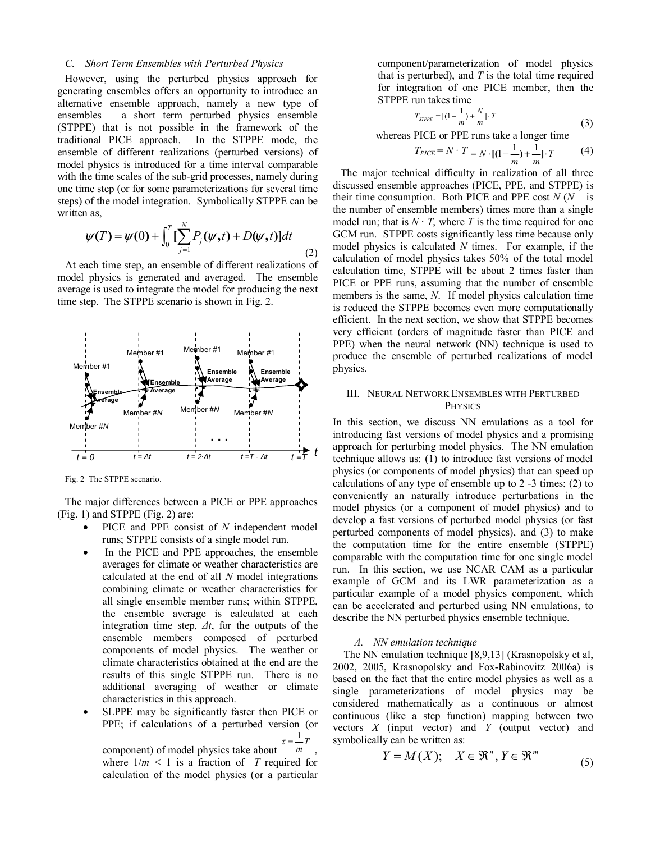#### *C. Short Term Ensembles with Perturbed Physics*

However, using the perturbed physics approach for generating ensembles offers an opportunity to introduce an alternative ensemble approach, namely a new type of ensembles – a short term perturbed physics ensemble (STPPE) that is not possible in the framework of the traditional PICE approach. In the STPPE mode, the ensemble of different realizations (perturbed versions) of model physics is introduced for a time interval comparable with the time scales of the sub-grid processes, namely during one time step (or for some parameterizations for several time steps) of the model integration. Symbolically STPPE can be written as,

$$
\psi(T) = \psi(0) + \int_0^T \left[ \sum_{j=1}^N P_j(\psi, t) + D(\psi, t) \right] dt
$$
 (2)

At each time step, an ensemble of different realizations of model physics is generated and averaged. The ensemble average is used to integrate the model for producing the next time step. The STPPE scenario is shown in Fig. 2.



Fig. 2 The STPPE scenario.

The major differences between a PICE or PPE approaches (Fig. 1) and STPPE (Fig. 2) are:

- PICE and PPE consist of *N* independent model runs; STPPE consists of a single model run.
- In the PICE and PPE approaches, the ensemble averages for climate or weather characteristics are calculated at the end of all *N* model integrations combining climate or weather characteristics for all single ensemble member runs; within STPPE, the ensemble average is calculated at each integration time step, *∆t*, for the outputs of the ensemble members composed of perturbed components of model physics. The weather or climate characteristics obtained at the end are the results of this single STPPE run. There is no additional averaging of weather or climate characteristics in this approach.
- SLPPE may be significantly faster then PICE or PPE; if calculations of a perturbed version (or  $\tau = \frac{1}{m}T$

component) of model physics take about , where  $1/m < 1$  is a fraction of T required for calculation of the model physics (or a particular

component/parameterization of model physics that is perturbed), and *T* is the total time required for integration of one PICE member, then the STPPE run takes time

$$
T_{\text{STPE}} = \left[ (1 - \frac{1}{m}) + \frac{N}{m} \right] \cdot T \tag{3}
$$

whereas PICE or PPE runs take a longer time

$$
T_{PICE} = N \cdot T = N \cdot [(1 - \frac{1}{m}) + \frac{1}{m}] \cdot T \tag{4}
$$

The major technical difficulty in realization of all three discussed ensemble approaches (PICE, PPE, and STPPE) is their time consumption. Both PICE and PPE cost  $N(N - is)$ the number of ensemble members) times more than a single model run; that is  $N \cdot T$ , where T is the time required for one GCM run. STPPE costs significantly less time because only model physics is calculated *N* times. For example, if the calculation of model physics takes 50% of the total model calculation time, STPPE will be about 2 times faster than PICE or PPE runs, assuming that the number of ensemble members is the same, *N*. If model physics calculation time is reduced the STPPE becomes even more computationally efficient. In the next section, we show that STPPE becomes very efficient (orders of magnitude faster than PICE and PPE) when the neural network (NN) technique is used to produce the ensemble of perturbed realizations of model physics.

# III. NEURAL NETWORK ENSEMBLES WITH PERTURBED **PHYSICS**

In this section, we discuss NN emulations as a tool for introducing fast versions of model physics and a promising approach for perturbing model physics. The NN emulation technique allows us: (1) to introduce fast versions of model physics (or components of model physics) that can speed up calculations of any type of ensemble up to 2 -3 times; (2) to conveniently an naturally introduce perturbations in the model physics (or a component of model physics) and to develop a fast versions of perturbed model physics (or fast perturbed components of model physics), and (3) to make the computation time for the entire ensemble (STPPE) comparable with the computation time for one single model run. In this section, we use NCAR CAM as a particular example of GCM and its LWR parameterization as a particular example of a model physics component, which can be accelerated and perturbed using NN emulations, to describe the NN perturbed physics ensemble technique.

#### *A. NN emulation technique*

The NN emulation technique [8,9,13] (Krasnopolsky et al, 2002, 2005, Krasnopolsky and Fox-Rabinovitz 2006a) is based on the fact that the entire model physics as well as a single parameterizations of model physics may be considered mathematically as a continuous or almost continuous (like a step function) mapping between two vectors *X* (input vector) and *Y* (output vector) and symbolically can be written as:

$$
Y = M(X); \quad X \in \mathfrak{R}^n, Y \in \mathfrak{R}^m \tag{5}
$$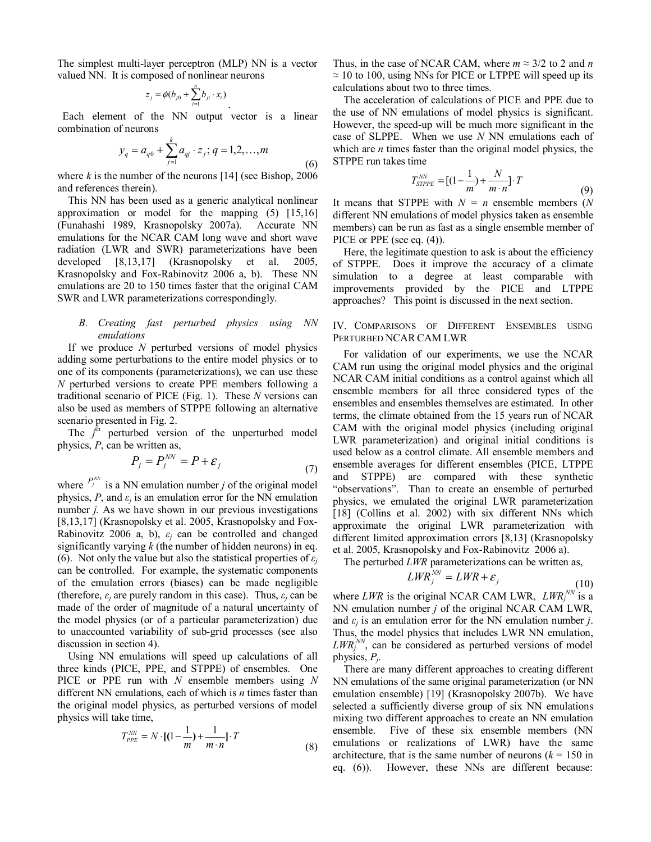The simplest multi-layer perceptron (MLP) NN is a vector valued NN. It is composed of nonlinear neurons

$$
z_j = \phi(b_{j0} + \sum_{i=1}^n b_{ji} \cdot x_i)
$$

 Each element of the NN output vector is a linear combination of neurons

$$
y_q = a_{q0} + \sum_{j=1}^{k} a_{qj} \cdot z_j; q = 1, 2, ..., m
$$
 (6)

.

where  $k$  is the number of the neurons [14] (see Bishop, 2006) and references therein).

This NN has been used as a generic analytical nonlinear approximation or model for the mapping (5) [15,16] (Funahashi 1989, Krasnopolsky 2007a). Accurate NN emulations for the NCAR CAM long wave and short wave radiation (LWR and SWR) parameterizations have been developed [8,13,17] (Krasnopolsky et al. 2005, Krasnopolsky and Fox-Rabinovitz 2006 a, b). These NN emulations are 20 to 150 times faster that the original CAM SWR and LWR parameterizations correspondingly.

### *B. Creating fast perturbed physics using NN emulations*

If we produce *N* perturbed versions of model physics adding some perturbations to the entire model physics or to one of its components (parameterizations), we can use these *N* perturbed versions to create PPE members following a traditional scenario of PICE (Fig. 1). These *N* versions can also be used as members of STPPE following an alternative scenario presented in Fig. 2.

The  $j<sup>th</sup>$  perturbed version of the unperturbed model physics, *P*, can be written as,

$$
P_j = P_j^{NN} = P + \varepsilon_j \tag{7}
$$

where  $P_j^{N}$  is a NN emulation number *j* of the original model physics,  $P$ , and  $\varepsilon$ *<sub>i</sub>* is an emulation error for the NN emulation number *j.* As we have shown in our previous investigations [8,13,17] (Krasnopolsky et al. 2005, Krasnopolsky and Fox-Rabinovitz 2006 a, b),  $\varepsilon_i$  can be controlled and changed significantly varying *k* (the number of hidden neurons) in eq. (6). Not only the value but also the statistical properties of  $\varepsilon$ *<sub>i</sub>* can be controlled. For example, the systematic components of the emulation errors (biases) can be made negligible (therefore,  $\varepsilon_i$  are purely random in this case). Thus,  $\varepsilon_i$  can be made of the order of magnitude of a natural uncertainty of the model physics (or of a particular parameterization) due to unaccounted variability of sub-grid processes (see also discussion in section 4).

Using NN emulations will speed up calculations of all three kinds (PICE, PPE, and STPPE) of ensembles. One PICE or PPE run with *N* ensemble members using *N* different NN emulations, each of which is *n* times faster than the original model physics, as perturbed versions of model physics will take time,

$$
T_{PPE}^{NN} = N \cdot [(1 - \frac{1}{m}) + \frac{1}{m \cdot n}] \cdot T
$$
 (8)

Thus, in the case of NCAR CAM, where  $m \approx 3/2$  to 2 and *n*  $\approx$  10 to 100, using NNs for PICE or LTPPE will speed up its calculations about two to three times.

The acceleration of calculations of PICE and PPE due to the use of NN emulations of model physics is significant. However, the speed-up will be much more significant in the case of SLPPE. When we use *N* NN emulations each of which are *n* times faster than the original model physics, the STPPE run takes time

$$
T_{STPPE}^{NN} = [(1 - \frac{1}{m}) + \frac{N}{m \cdot n}] \cdot T
$$
 (9)

It means that STPPE with  $N = n$  ensemble members (*N* different NN emulations of model physics taken as ensemble members) can be run as fast as a single ensemble member of PICE or PPE (see eq.  $(4)$ ).

Here, the legitimate question to ask is about the efficiency of STPPE. Does it improve the accuracy of a climate simulation to a degree at least comparable with improvements provided by the PICE and LTPPE approaches? This point is discussed in the next section.

IV. COMPARISONS OF DIFFERENT ENSEMBLES USING PERTURBED NCARCAM LWR

For validation of our experiments, we use the NCAR CAM run using the original model physics and the original NCAR CAM initial conditions as a control against which all ensemble members for all three considered types of the ensembles and ensembles themselves are estimated. In other terms, the climate obtained from the 15 years run of NCAR CAM with the original model physics (including original LWR parameterization) and original initial conditions is used below as a control climate. All ensemble members and ensemble averages for different ensembles (PICE, LTPPE and STPPE) are compared with these synthetic "observations". Than to create an ensemble of perturbed physics, we emulated the original LWR parameterization [18] (Collins et al. 2002) with six different NNs which approximate the original LWR parameterization with different limited approximation errors [8,13] (Krasnopolsky et al. 2005, Krasnopolsky and Fox-Rabinovitz 2006 a).

The perturbed *LWR* parameterizations can be written as,

$$
LWR_j^{NN} = LWR + \varepsilon_j \tag{10}
$$

where *LWR* is the original NCAR CAM LWR, *LWR*<sup>*NN*</sup> is a NN emulation number *j* of the original NCAR CAM LWR, and  $\varepsilon_i$  is an emulation error for the NN emulation number *j*. Thus, the model physics that includes LWR NN emulation,  $LWR_j^{\text{NN}}$ , can be considered as perturbed versions of model physics, *Pj*.

There are many different approaches to creating different NN emulations of the same original parameterization (or NN emulation ensemble) [19] (Krasnopolsky 2007b). We have selected a sufficiently diverse group of six NN emulations mixing two different approaches to create an NN emulation ensemble. Five of these six ensemble members (NN emulations or realizations of LWR) have the same architecture, that is the same number of neurons  $(k = 150$  in eq. (6)). However, these NNs are different because: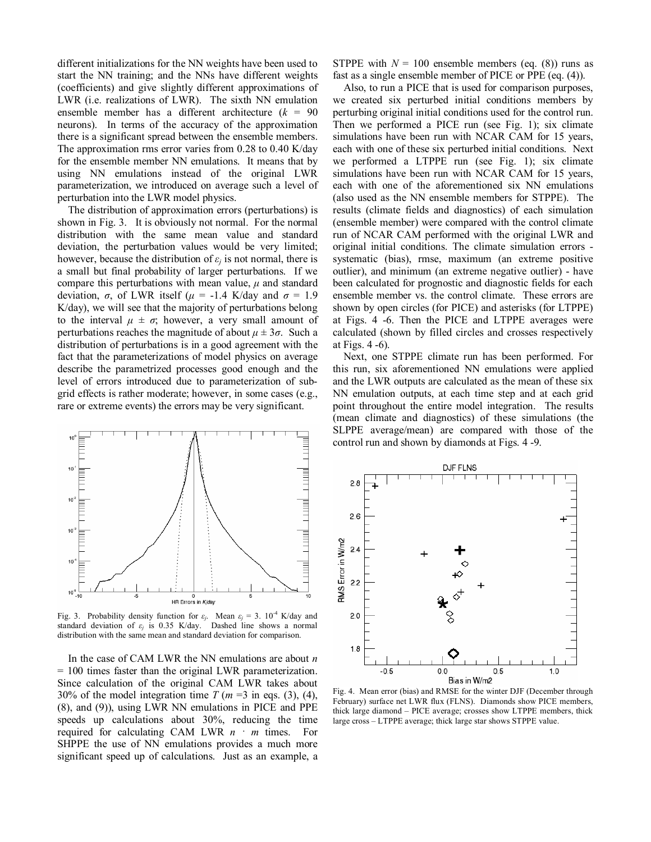different initializations for the NN weights have been used to start the NN training; and the NNs have different weights (coefficients) and give slightly different approximations of LWR (i.e. realizations of LWR). The sixth NN emulation ensemble member has a different architecture  $(k = 90)$ neurons). In terms of the accuracy of the approximation there is a significant spread between the ensemble members. The approximation rms error varies from 0.28 to 0.40 K/day for the ensemble member NN emulations. It means that by using NN emulations instead of the original LWR parameterization, we introduced on average such a level of perturbation into the LWR model physics.

The distribution of approximation errors (perturbations) is shown in Fig. 3. It is obviously not normal. For the normal distribution with the same mean value and standard deviation, the perturbation values would be very limited; however, because the distribution of  $\varepsilon_i$  is not normal, there is a small but final probability of larger perturbations. If we compare this perturbations with mean value,  $\mu$  and standard deviation, *σ*, of LWR itself (*µ* = -1.4 K/day and *σ* = 1.9 K/day), we will see that the majority of perturbations belong to the interval  $\mu \pm \sigma$ ; however, a very small amount of perturbations reaches the magnitude of about  $\mu \pm 3\sigma$ . Such a distribution of perturbations is in a good agreement with the fact that the parameterizations of model physics on average describe the parametrized processes good enough and the level of errors introduced due to parameterization of subgrid effects is rather moderate; however, in some cases (e.g., rare or extreme events) the errors may be very significant.



Fig. 3. Probability density function for  $\varepsilon_j$ . Mean  $\varepsilon_j = 3$ .  $10^{-4}$  K/day and standard deviation of  $\varepsilon$ <sup>*j*</sup> is 0.35 K/day. Dashed line shows a normal distribution with the same mean and standard deviation for comparison.

In the case of CAM LWR the NN emulations are about *n*  = 100 times faster than the original LWR parameterization. Since calculation of the original CAM LWR takes about 30% of the model integration time  $T (m = 3$  in eqs. (3), (4), (8), and (9)), using LWR NN emulations in PICE and PPE speeds up calculations about 30%, reducing the time required for calculating CAM LWR *n · m* times. For SHPPE the use of NN emulations provides a much more significant speed up of calculations. Just as an example, a STPPE with  $N = 100$  ensemble members (eq. (8)) runs as fast as a single ensemble member of PICE or PPE (eq. (4)).

Also, to run a PICE that is used for comparison purposes, we created six perturbed initial conditions members by perturbing original initial conditions used for the control run. Then we performed a PICE run (see Fig. 1); six climate simulations have been run with NCAR CAM for 15 years, each with one of these six perturbed initial conditions. Next we performed a LTPPE run (see Fig. 1); six climate simulations have been run with NCAR CAM for 15 years, each with one of the aforementioned six NN emulations (also used as the NN ensemble members for STPPE). The results (climate fields and diagnostics) of each simulation (ensemble member) were compared with the control climate run of NCAR CAM performed with the original LWR and original initial conditions. The climate simulation errors systematic (bias), rmse, maximum (an extreme positive outlier), and minimum (an extreme negative outlier) - have been calculated for prognostic and diagnostic fields for each ensemble member vs. the control climate. These errors are shown by open circles (for PICE) and asterisks (for LTPPE) at Figs. 4 -6. Then the PICE and LTPPE averages were calculated (shown by filled circles and crosses respectively at Figs. 4 -6).

Next, one STPPE climate run has been performed. For this run, six aforementioned NN emulations were applied and the LWR outputs are calculated as the mean of these six NN emulation outputs, at each time step and at each grid point throughout the entire model integration. The results (mean climate and diagnostics) of these simulations (the SLPPE average/mean) are compared with those of the control run and shown by diamonds at Figs. 4 -9.



Fig. 4. Mean error (bias) and RMSE for the winter DJF (December through February) surface net LWR flux (FLNS). Diamonds show PICE members, thick large diamond – PICE average; crosses show LTPPE members, thick large cross – LTPPE average; thick large star shows STPPE value.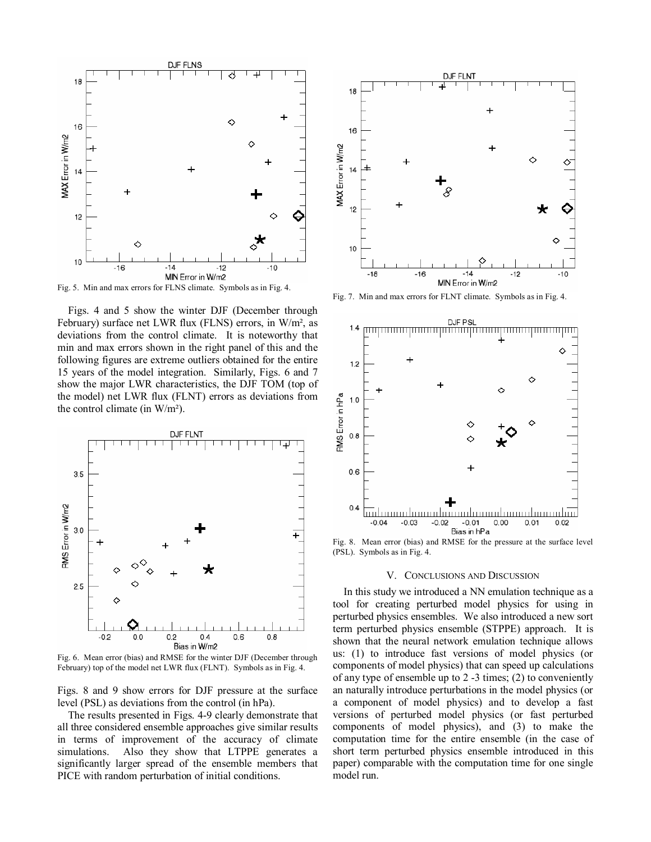

Fig. 5. Min and max errors for FLNS climate. Symbols as in Fig. 4.

Figs. 4 and 5 show the winter DJF (December through February) surface net LWR flux (FLNS) errors, in W/m², as deviations from the control climate. It is noteworthy that min and max errors shown in the right panel of this and the following figures are extreme outliers obtained for the entire 15 years of the model integration. Similarly, Figs. 6 and 7 show the major LWR characteristics, the DJF TOM (top of the model) net LWR flux (FLNT) errors as deviations from the control climate (in W/m²).



Fig. 6. Mean error (bias) and RMSE for the winter DJF (December through February) top of the model net LWR flux (FLNT). Symbols as in Fig. 4.

Figs. 8 and 9 show errors for DJF pressure at the surface level (PSL) as deviations from the control (in hPa).

The results presented in Figs. 4-9 clearly demonstrate that all three considered ensemble approaches give similar results in terms of improvement of the accuracy of climate simulations. Also they show that LTPPE generates a significantly larger spread of the ensemble members that PICE with random perturbation of initial conditions.



Fig. 7. Min and max errors for FLNT climate. Symbols as in Fig. 4.



(PSL). Symbols as in Fig. 4.

#### V. CONCLUSIONS AND DISCUSSION

In this study we introduced a NN emulation technique as a tool for creating perturbed model physics for using in perturbed physics ensembles. We also introduced a new sort term perturbed physics ensemble (STPPE) approach. It is shown that the neural network emulation technique allows us: (1) to introduce fast versions of model physics (or components of model physics) that can speed up calculations of any type of ensemble up to 2 -3 times; (2) to conveniently an naturally introduce perturbations in the model physics (or a component of model physics) and to develop a fast versions of perturbed model physics (or fast perturbed components of model physics), and (3) to make the computation time for the entire ensemble (in the case of short term perturbed physics ensemble introduced in this paper) comparable with the computation time for one single model run.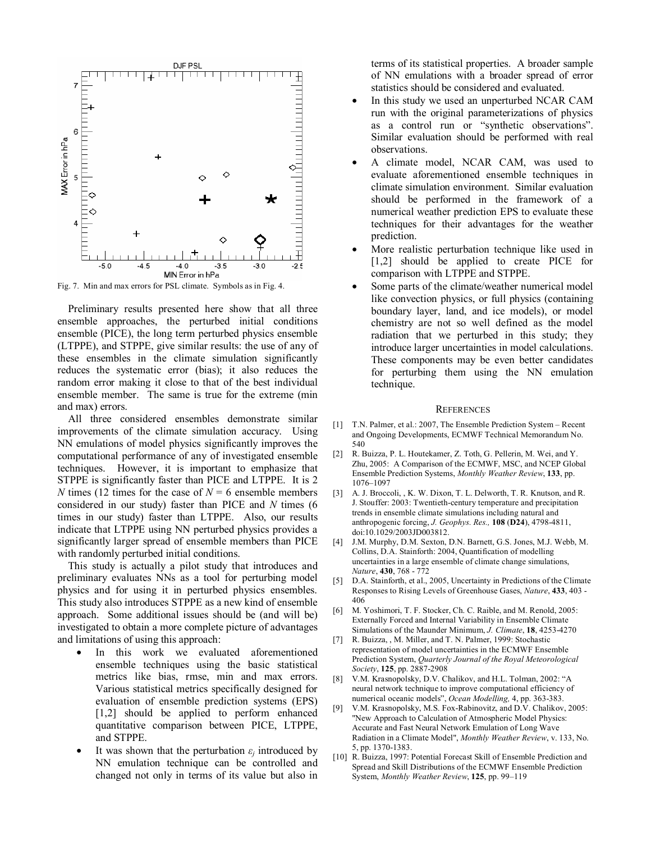

Fig. 7. Min and max errors for PSL climate. Symbols as in Fig. 4.

Preliminary results presented here show that all three ensemble approaches, the perturbed initial conditions ensemble (PICE), the long term perturbed physics ensemble (LTPPE), and STPPE, give similar results: the use of any of these ensembles in the climate simulation significantly reduces the systematic error (bias); it also reduces the random error making it close to that of the best individual ensemble member. The same is true for the extreme (min and max) errors.

All three considered ensembles demonstrate similar improvements of the climate simulation accuracy. Using NN emulations of model physics significantly improves the computational performance of any of investigated ensemble techniques. However, it is important to emphasize that STPPE is significantly faster than PICE and LTPPE. It is 2 *N* times (12 times for the case of  $N = 6$  ensemble members considered in our study) faster than PICE and *N* times (6 times in our study) faster than LTPPE. Also, our results indicate that LTPPE using NN perturbed physics provides a significantly larger spread of ensemble members than PICE with randomly perturbed initial conditions.

This study is actually a pilot study that introduces and preliminary evaluates NNs as a tool for perturbing model physics and for using it in perturbed physics ensembles. This study also introduces STPPE as a new kind of ensemble approach. Some additional issues should be (and will be) investigated to obtain a more complete picture of advantages and limitations of using this approach:

- In this work we evaluated aforementioned ensemble techniques using the basic statistical metrics like bias, rmse, min and max errors. Various statistical metrics specifically designed for evaluation of ensemble prediction systems (EPS) [1,2] should be applied to perform enhanced quantitative comparison between PICE, LTPPE, and STPPE.
- It was shown that the perturbation  $\varepsilon_i$  introduced by NN emulation technique can be controlled and changed not only in terms of its value but also in

terms of its statistical properties. A broader sample of NN emulations with a broader spread of error statistics should be considered and evaluated.

- In this study we used an unperturbed NCAR CAM run with the original parameterizations of physics as a control run or "synthetic observations". Similar evaluation should be performed with real observations.
- A climate model, NCAR CAM, was used to evaluate aforementioned ensemble techniques in climate simulation environment. Similar evaluation should be performed in the framework of a numerical weather prediction EPS to evaluate these techniques for their advantages for the weather prediction.
- More realistic perturbation technique like used in [1,2] should be applied to create PICE for comparison with LTPPE and STPPE.
- Some parts of the climate/weather numerical model like convection physics, or full physics (containing boundary layer, land, and ice models), or model chemistry are not so well defined as the model radiation that we perturbed in this study; they introduce larger uncertainties in model calculations. These components may be even better candidates for perturbing them using the NN emulation technique.

#### **REFERENCES**

- [1] T.N. Palmer, et al.: 2007, The Ensemble Prediction System Recent and Ongoing Developments, ECMWF Technical Memorandum No. 540
- [2] R. Buizza, P. L. Houtekamer, Z. Toth, G. Pellerin, M. Wei, and Y. Zhu, 2005: A Comparison of the ECMWF, MSC, and NCEP Global Ensemble Prediction Systems, *Monthly Weather Review*, **133**, pp. 1076–1097
- [3] A. J. Broccoli, , K. W. Dixon, T. L. Delworth, T. R. Knutson, and R. J. Stouffer: 2003: Twentieth-century temperature and precipitation trends in ensemble climate simulations including natural and anthropogenic forcing, *J. Geophys. Res.,* **108** (**D24**), 4798-4811, doi:10.1029/2003JD003812.
- [4] J.M. Murphy, D.M. Sexton, D.N. Barnett, G.S. Jones, M.J. Webb, M. Collins, D.A. Stainforth: 2004, Quantification of modelling uncertainties in a large ensemble of climate change simulations, *Nature*, **430**, 768 - 772
- [5] D.A. Stainforth, et al., 2005, Uncertainty in Predictions of the Climate Responses to Rising Levels of Greenhouse Gases, *Nature*, **433**, 403 - 406
- [6] M. Yoshimori, T. F. Stocker, Ch. C. Raible, and M. Renold, 2005: Externally Forced and Internal Variability in Ensemble Climate Simulations of the Maunder Minimum, *J. Climate*, **18**, 4253-4270
- [7] R. Buizza, , M. Miller, and T. N. Palmer, 1999: Stochastic representation of model uncertainties in the ECMWF Ensemble Prediction System, *Quarterly Journal of the Royal Meteorological Society*, **125**, pp. 2887-2908
- [8] V.M. Krasnopolsky, D.V. Chalikov, and H.L. Tolman, 2002: "A neural network technique to improve computational efficiency of numerical oceanic models", *Ocean Modelling,* 4, pp. 363-383.
- [9] V.M. Krasnopolsky, M.S. Fox-Rabinovitz, and D.V. Chalikov, 2005: "New Approach to Calculation of Atmospheric Model Physics: Accurate and Fast Neural Network Emulation of Long Wave Radiation in a Climate Model", *Monthly Weather Review*, v. 133, No. 5, pp. 1370-1383.
- [10] R. Buizza, 1997: Potential Forecast Skill of Ensemble Prediction and Spread and Skill Distributions of the ECMWF Ensemble Prediction System, *Monthly Weather Review*, **125**, pp. 99–119